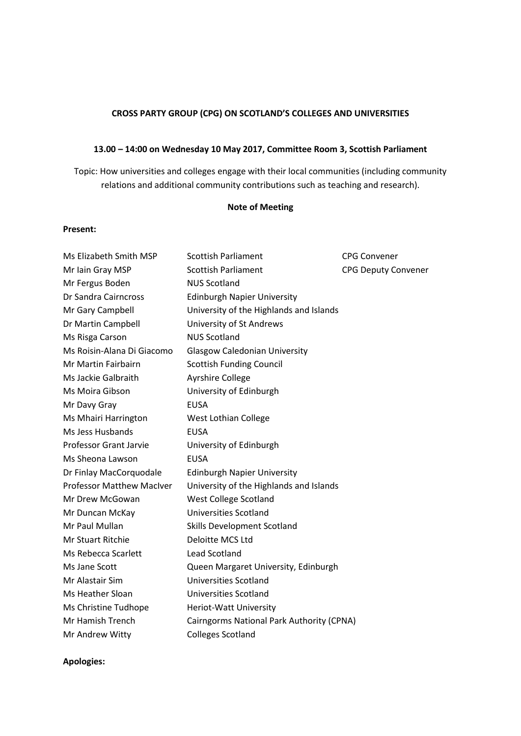## **CROSS PARTY GROUP (CPG) ON SCOTLAND'S COLLEGES AND UNIVERSITIES**

## **13.00 – 14:00 on Wednesday 10 May 2017, Committee Room 3, Scottish Parliament**

Topic: How universities and colleges engage with their local communities (including community relations and additional community contributions such as teaching and research).

## **Note of Meeting**

### **Present:**

| Ms Elizabeth Smith MSP           | <b>Scottish Parliament</b>                | <b>CPG Convener</b>        |
|----------------------------------|-------------------------------------------|----------------------------|
| Mr Iain Gray MSP                 | <b>Scottish Parliament</b>                | <b>CPG Deputy Convener</b> |
| Mr Fergus Boden                  | <b>NUS Scotland</b>                       |                            |
| Dr Sandra Cairncross             | <b>Edinburgh Napier University</b>        |                            |
| Mr Gary Campbell                 | University of the Highlands and Islands   |                            |
| Dr Martin Campbell               | University of St Andrews                  |                            |
| Ms Risga Carson                  | <b>NUS Scotland</b>                       |                            |
| Ms Roisin-Alana Di Giacomo       | <b>Glasgow Caledonian University</b>      |                            |
| Mr Martin Fairbairn              | <b>Scottish Funding Council</b>           |                            |
| Ms Jackie Galbraith              | <b>Ayrshire College</b>                   |                            |
| Ms Moira Gibson                  | University of Edinburgh                   |                            |
| Mr Davy Gray                     | <b>EUSA</b>                               |                            |
| Ms Mhairi Harrington             | West Lothian College                      |                            |
| Ms Jess Husbands                 | <b>EUSA</b>                               |                            |
| <b>Professor Grant Jarvie</b>    | University of Edinburgh                   |                            |
| Ms Sheona Lawson                 | <b>EUSA</b>                               |                            |
| Dr Finlay MacCorquodale          | <b>Edinburgh Napier University</b>        |                            |
| <b>Professor Matthew MacIver</b> | University of the Highlands and Islands   |                            |
| Mr Drew McGowan                  | <b>West College Scotland</b>              |                            |
| Mr Duncan McKay                  | <b>Universities Scotland</b>              |                            |
| Mr Paul Mullan                   | <b>Skills Development Scotland</b>        |                            |
| Mr Stuart Ritchie                | Deloitte MCS Ltd                          |                            |
| Ms Rebecca Scarlett              | <b>Lead Scotland</b>                      |                            |
| Ms Jane Scott                    | Queen Margaret University, Edinburgh      |                            |
| Mr Alastair Sim                  | Universities Scotland                     |                            |
| Ms Heather Sloan                 | <b>Universities Scotland</b>              |                            |
| Ms Christine Tudhope             | Heriot-Watt University                    |                            |
| Mr Hamish Trench                 | Cairngorms National Park Authority (CPNA) |                            |
| Mr Andrew Witty                  | <b>Colleges Scotland</b>                  |                            |

**Apologies:**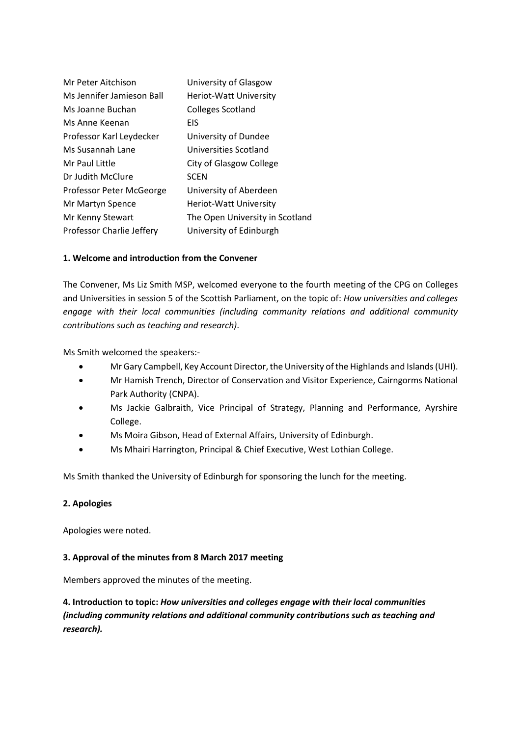| Mr Peter Aitchison               | University of Glasgow           |
|----------------------------------|---------------------------------|
| Ms Jennifer Jamieson Ball        | Heriot-Watt University          |
| Ms Joanne Buchan                 | <b>Colleges Scotland</b>        |
| Ms Anne Keenan                   | EIS                             |
| Professor Karl Leydecker         | University of Dundee            |
| Ms Susannah Lane                 | Universities Scotland           |
| Mr Paul Little                   | City of Glasgow College         |
| Dr Judith McClure                | <b>SCEN</b>                     |
| Professor Peter McGeorge         | University of Aberdeen          |
| Mr Martyn Spence                 | Heriot-Watt University          |
| Mr Kenny Stewart                 | The Open University in Scotland |
| <b>Professor Charlie Jeffery</b> | University of Edinburgh         |

# **1. Welcome and introduction from the Convener**

The Convener, Ms Liz Smith MSP, welcomed everyone to the fourth meeting of the CPG on Colleges and Universities in session 5 of the Scottish Parliament, on the topic of: *How universities and colleges engage with their local communities (including community relations and additional community contributions such as teaching and research)*.

Ms Smith welcomed the speakers:-

- Mr Gary Campbell, Key Account Director, the University of the Highlands and Islands (UHI).
- Mr Hamish Trench, Director of Conservation and Visitor Experience, Cairngorms National Park Authority (CNPA).
- Ms Jackie Galbraith, Vice Principal of Strategy, Planning and Performance, Ayrshire College.
- Ms Moira Gibson, Head of External Affairs, University of Edinburgh.
- Ms Mhairi Harrington, Principal & Chief Executive, West Lothian College.

Ms Smith thanked the University of Edinburgh for sponsoring the lunch for the meeting.

### **2. Apologies**

Apologies were noted.

### **3. Approval of the minutes from 8 March 2017 meeting**

Members approved the minutes of the meeting.

**4. Introduction to topic:** *How universities and colleges engage with their local communities (including community relations and additional community contributions such as teaching and research).*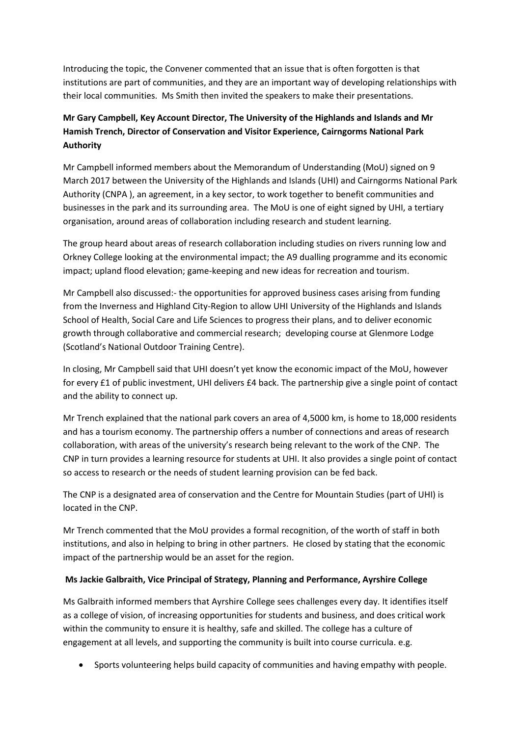Introducing the topic, the Convener commented that an issue that is often forgotten is that institutions are part of communities, and they are an important way of developing relationships with their local communities. Ms Smith then invited the speakers to make their presentations.

# **Mr Gary Campbell, Key Account Director, The University of the Highlands and Islands and Mr Hamish Trench, Director of Conservation and Visitor Experience, Cairngorms National Park Authority**

Mr Campbell informed members about the Memorandum of Understanding (MoU) signed on 9 March 2017 between the University of the Highlands and Islands (UHI) and Cairngorms National Park Authority (CNPA ), an agreement, in a key sector, to work together to benefit communities and businesses in the park and its surrounding area. The MoU is one of eight signed by UHI, a tertiary organisation, around areas of collaboration including research and student learning.

The group heard about areas of research collaboration including studies on rivers running low and Orkney College looking at the environmental impact; the A9 dualling programme and its economic impact; upland flood elevation; game-keeping and new ideas for recreation and tourism.

Mr Campbell also discussed:- the opportunities for approved business cases arising from funding from the Inverness and Highland City-Region to allow UHI University of the Highlands and Islands School of Health, Social Care and Life Sciences to progress their plans, and to deliver economic growth through collaborative and commercial research; developing course at Glenmore Lodge (Scotland's National Outdoor Training Centre).

In closing, Mr Campbell said that UHI doesn't yet know the economic impact of the MoU, however for every £1 of public investment, UHI delivers £4 back. The partnership give a single point of contact and the ability to connect up.

Mr Trench explained that the national park covers an area of 4,5000 km, is home to 18,000 residents and has a tourism economy. The partnership offers a number of connections and areas of research collaboration, with areas of the university's research being relevant to the work of the CNP. The CNP in turn provides a learning resource for students at UHI. It also provides a single point of contact so access to research or the needs of student learning provision can be fed back.

The CNP is a designated area of conservation and the Centre for Mountain Studies (part of UHI) is located in the CNP.

Mr Trench commented that the MoU provides a formal recognition, of the worth of staff in both institutions, and also in helping to bring in other partners. He closed by stating that the economic impact of the partnership would be an asset for the region.

# **Ms Jackie Galbraith, Vice Principal of Strategy, Planning and Performance, Ayrshire College**

Ms Galbraith informed members that Ayrshire College sees challenges every day. It identifies itself as a college of vision, of increasing opportunities for students and business, and does critical work within the community to ensure it is healthy, safe and skilled. The college has a culture of engagement at all levels, and supporting the community is built into course curricula. e.g.

Sports volunteering helps build capacity of communities and having empathy with people.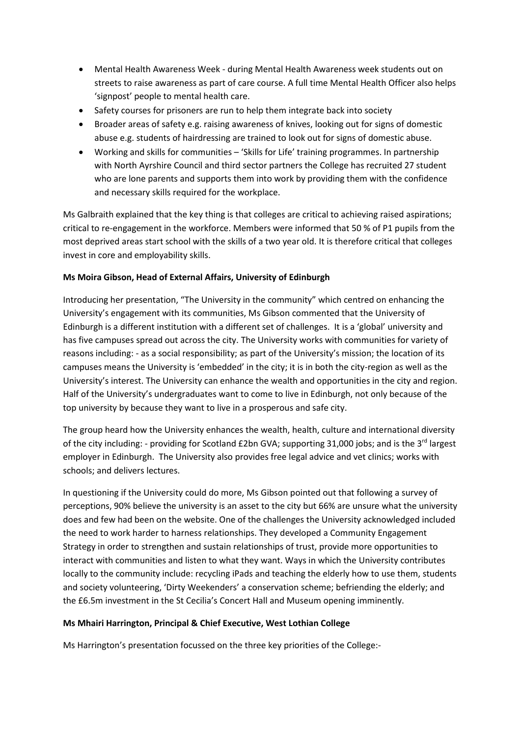- Mental Health Awareness Week during Mental Health Awareness week students out on streets to raise awareness as part of care course. A full time Mental Health Officer also helps 'signpost' people to mental health care.
- Safety courses for prisoners are run to help them integrate back into society
- Broader areas of safety e.g. raising awareness of knives, looking out for signs of domestic abuse e.g. students of hairdressing are trained to look out for signs of domestic abuse.
- Working and skills for communities 'Skills for Life' training programmes. In partnership with North Ayrshire Council and third sector partners the College has recruited 27 student who are lone parents and supports them into work by providing them with the confidence and necessary skills required for the workplace.

Ms Galbraith explained that the key thing is that colleges are critical to achieving raised aspirations; critical to re-engagement in the workforce. Members were informed that 50 % of P1 pupils from the most deprived areas start school with the skills of a two year old. It is therefore critical that colleges invest in core and employability skills.

# **Ms Moira Gibson, Head of External Affairs, University of Edinburgh**

Introducing her presentation, "The University in the community" which centred on enhancing the University's engagement with its communities, Ms Gibson commented that the University of Edinburgh is a different institution with a different set of challenges. It is a 'global' university and has five campuses spread out across the city. The University works with communities for variety of reasons including: - as a social responsibility; as part of the University's mission; the location of its campuses means the University is 'embedded' in the city; it is in both the city-region as well as the University's interest. The University can enhance the wealth and opportunities in the city and region. Half of the University's undergraduates want to come to live in Edinburgh, not only because of the top university by because they want to live in a prosperous and safe city.

The group heard how the University enhances the wealth, health, culture and international diversity of the city including: - providing for Scotland £2bn GVA; supporting 31,000 jobs; and is the 3rd largest employer in Edinburgh. The University also provides free legal advice and vet clinics; works with schools; and delivers lectures.

In questioning if the University could do more, Ms Gibson pointed out that following a survey of perceptions, 90% believe the university is an asset to the city but 66% are unsure what the university does and few had been on the website. One of the challenges the University acknowledged included the need to work harder to harness relationships. They developed a Community Engagement Strategy in order to strengthen and sustain relationships of trust, provide more opportunities to interact with communities and listen to what they want. Ways in which the University contributes locally to the community include: recycling iPads and teaching the elderly how to use them, students and society volunteering, 'Dirty Weekenders' a conservation scheme; befriending the elderly; and the £6.5m investment in the St Cecilia's Concert Hall and Museum opening imminently.

### **Ms Mhairi Harrington, Principal & Chief Executive, West Lothian College**

Ms Harrington's presentation focussed on the three key priorities of the College:-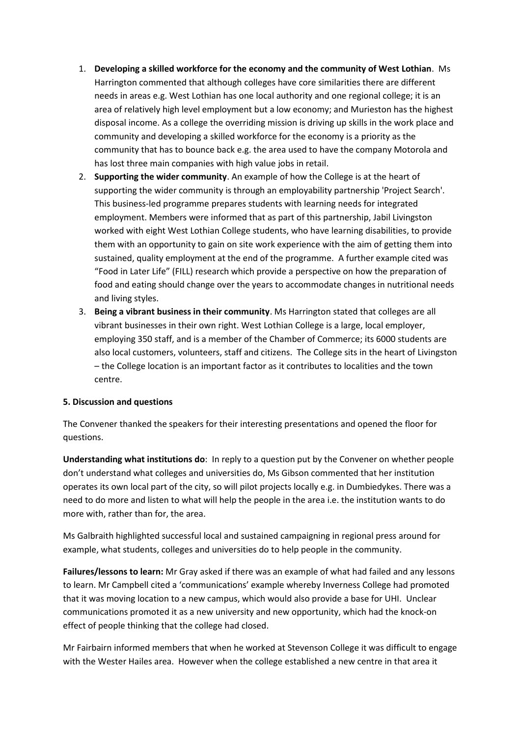- 1. **Developing a skilled workforce for the economy and the community of West Lothian**. Ms Harrington commented that although colleges have core similarities there are different needs in areas e.g. West Lothian has one local authority and one regional college; it is an area of relatively high level employment but a low economy; and Murieston has the highest disposal income. As a college the overriding mission is driving up skills in the work place and community and developing a skilled workforce for the economy is a priority as the community that has to bounce back e.g. the area used to have the company Motorola and has lost three main companies with high value jobs in retail.
- 2. **Supporting the wider community**. An example of how the College is at the heart of supporting the wider community is through an employability partnership 'Project Search'. This business-led programme prepares students with learning needs for integrated employment. Members were informed that as part of this partnership, Jabil Livingston worked with eight West Lothian College students, who have learning disabilities, to provide them with an opportunity to gain on site work experience with the aim of getting them into sustained, quality employment at the end of the programme. A further example cited was "Food in Later Life" (FILL) research which provide a perspective on how the preparation of food and eating should change over the years to accommodate changes in nutritional needs and living styles.
- 3. **Being a vibrant business in their community**. Ms Harrington stated that colleges are all vibrant businesses in their own right. West Lothian College is a large, local employer, employing 350 staff, and is a member of the Chamber of Commerce; its 6000 students are also local customers, volunteers, staff and citizens. The College sits in the heart of Livingston – the College location is an important factor as it contributes to localities and the town centre.

### **5. Discussion and questions**

The Convener thanked the speakers for their interesting presentations and opened the floor for questions.

**Understanding what institutions do**: In reply to a question put by the Convener on whether people don't understand what colleges and universities do, Ms Gibson commented that her institution operates its own local part of the city, so will pilot projects locally e.g. in Dumbiedykes. There was a need to do more and listen to what will help the people in the area i.e. the institution wants to do more with, rather than for, the area.

Ms Galbraith highlighted successful local and sustained campaigning in regional press around for example, what students, colleges and universities do to help people in the community.

**Failures/lessons to learn:** Mr Gray asked if there was an example of what had failed and any lessons to learn. Mr Campbell cited a 'communications' example whereby Inverness College had promoted that it was moving location to a new campus, which would also provide a base for UHI. Unclear communications promoted it as a new university and new opportunity, which had the knock-on effect of people thinking that the college had closed.

Mr Fairbairn informed members that when he worked at Stevenson College it was difficult to engage with the Wester Hailes area. However when the college established a new centre in that area it